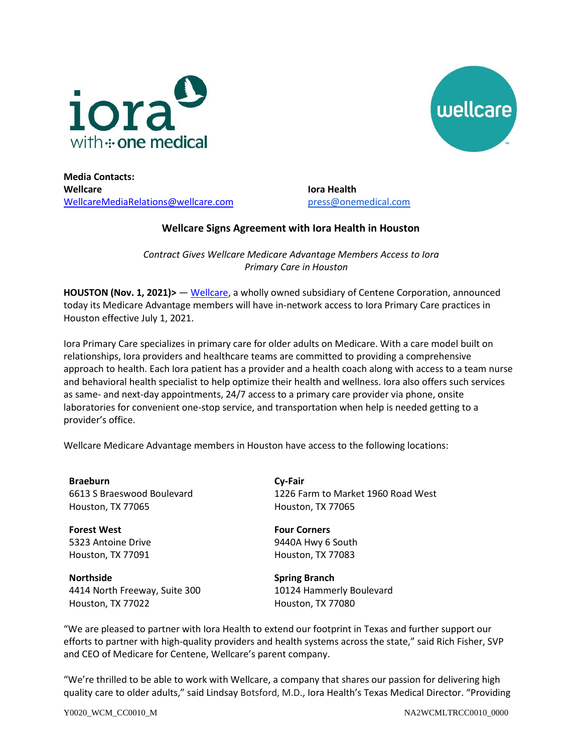



**Media Contacts: Wellcare** [WellcareMediaRelations@wellcare.com](mailto:WellcareMediaRelations@wellcare.com)

**Iora Health**  [press@onemedical.com](mailto:press@onemedical.com)

## **Wellcare Signs Agreement with Iora Health in Houston**

*Contract Gives Wellcare Medicare Advantage Members Access to Iora Primary Care in Houston*

**HOUSTON (Nov. 1, 2021)>** — [Wellcare,](http://www.wellcare.com/) a wholly owned subsidiary of Centene Corporation, announced today its Medicare Advantage members will have in-network access to Iora Primary Care practices in Houston effective July 1, 2021.

Iora Primary Care specializes in primary care for older adults on Medicare. With a care model built on relationships, Iora providers and healthcare teams are committed to providing a comprehensive approach to health. Each Iora patient has a provider and a health coach along with access to a team nurse and behavioral health specialist to help optimize their health and wellness. Iora also offers such services as same- and next-day appointments, 24/7 access to a primary care provider via phone, onsite laboratories for convenient one-stop service, and transportation when help is needed getting to a provider's office.

Wellcare Medicare Advantage members in Houston have access to the following locations:

**Braeburn** 6613 S Braeswood Boulevard Houston, TX 77065

**Forest West** 5323 Antoine Drive Houston, TX 77091

**Northside** 4414 North Freeway, Suite 300 Houston, TX 77022

**Cy-Fair** 1226 Farm to Market 1960 Road West Houston, TX 77065

**Four Corners** 9440A Hwy 6 South Houston, TX 77083

**Spring Branch** 10124 Hammerly Boulevard Houston, TX 77080

"We are pleased to partner with Iora Health to extend our footprint in Texas and further support our efforts to partner with high-quality providers and health systems across the state," said Rich Fisher, SVP and CEO of Medicare for Centene, Wellcare's parent company.

"We're thrilled to be able to work with Wellcare, a company that shares our passion for delivering high quality care to older adults," said Lindsay Botsford, M.D., Iora Health's Texas Medical Director. "Providing